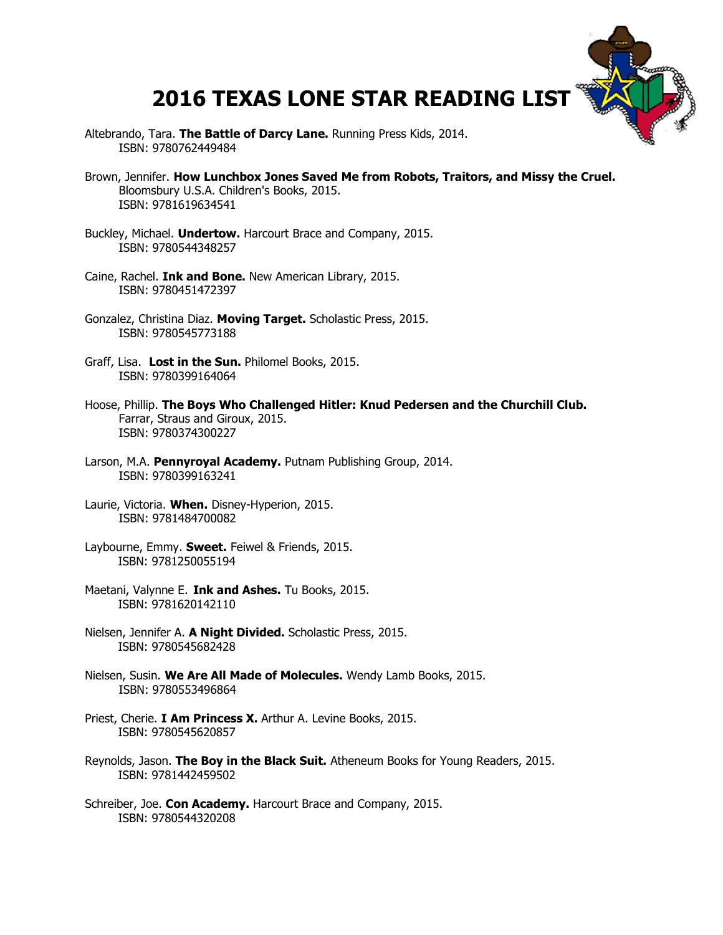## **2016 TEXAS LONE STAR READING LIST**

- Altebrando, Tara. **The Battle of Darcy Lane.** Running Press Kids, 2014. ISBN: 9780762449484
- Brown, Jennifer. **How Lunchbox Jones Saved Me from Robots, Traitors, and Missy the Cruel.** Bloomsbury U.S.A. Children's Books, 2015. ISBN: 9781619634541
- Buckley, Michael. **Undertow.** Harcourt Brace and Company, 2015. ISBN: 9780544348257
- Caine, Rachel. **Ink and Bone.** New American Library, 2015. ISBN: 9780451472397
- Gonzalez, Christina Diaz. **Moving Target.** Scholastic Press, 2015. ISBN: 9780545773188
- Graff, Lisa. **Lost in the Sun.** Philomel Books, 2015. ISBN: 9780399164064
- Hoose, Phillip. **The Boys Who Challenged Hitler: Knud Pedersen and the Churchill Club.** Farrar, Straus and Giroux, 2015. ISBN: 9780374300227
- Larson, M.A. **Pennyroyal Academy.** Putnam Publishing Group, 2014. ISBN: 9780399163241
- Laurie, Victoria. **When.** Disney-Hyperion, 2015. ISBN: 9781484700082
- Laybourne, Emmy. **Sweet.** Feiwel & Friends, 2015. ISBN: 9781250055194
- Maetani, Valynne E. **Ink and Ashes.** Tu Books, 2015. ISBN: 9781620142110
- Nielsen, Jennifer A. **A Night Divided.** Scholastic Press, 2015. ISBN: 9780545682428
- Nielsen, Susin. **We Are All Made of Molecules.** Wendy Lamb Books, 2015. ISBN: 9780553496864
- Priest, Cherie. **I Am Princess X.** Arthur A. Levine Books, 2015. ISBN: 9780545620857
- Reynolds, Jason. **The Boy in the Black Suit.** Atheneum Books for Young Readers, 2015. ISBN: 9781442459502
- Schreiber, Joe. **Con Academy.** Harcourt Brace and Company, 2015. ISBN: 9780544320208